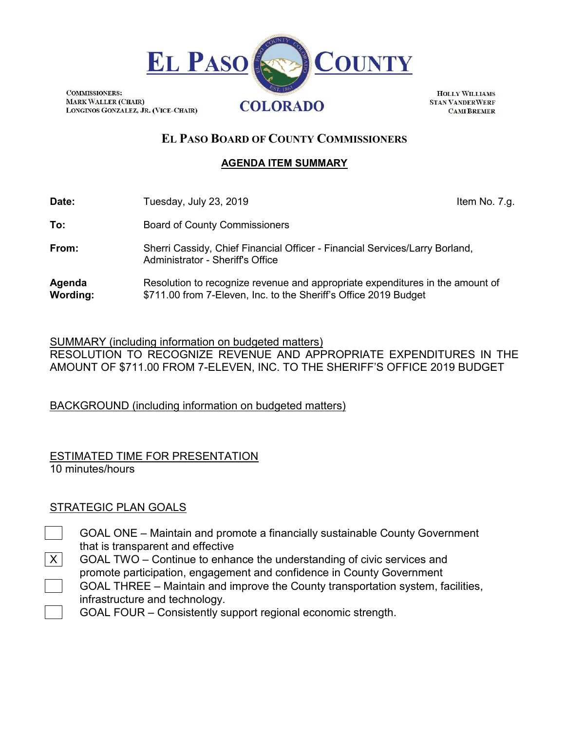

**COMMISSIONERS: MARK WALLER (CHAIR)** LONGINOS GONZALEZ, JR. (VICE-CHAIR)

**HOLLY WILLIAMS STAN VANDERWERF CAMI BREMER** 

# **EL PASO BOARD OF COUNTY COMMISSIONERS**

#### **AGENDA ITEM SUMMARY**

**Date:** Tuesday, July 23, 2019 **In the Contract Contract Contract Contract Contract Contract Contract Contract Contract Contract Contract Contract Contract Contract Contract Contract Contract Contract Contract Contract Con To:** Board of County Commissioners **From:** Sherri Cassidy, Chief Financial Officer - Financial Services/Larry Borland, Administrator - Sheriff's Office **Agenda Wording:** Resolution to recognize revenue and appropriate expenditures in the amount of \$711.00 from 7-Eleven, Inc. to the Sheriff's Office 2019 Budget

SUMMARY (including information on budgeted matters) RESOLUTION TO RECOGNIZE REVENUE AND APPROPRIATE EXPENDITURES IN THE AMOUNT OF \$711.00 FROM 7-ELEVEN, INC. TO THE SHERIFF'S OFFICE 2019 BUDGET

BACKGROUND (including information on budgeted matters)

ESTIMATED TIME FOR PRESENTATION 10 minutes/hours

### STRATEGIC PLAN GOALS

- GOAL ONE Maintain and promote a financially sustainable County Government that is transparent and effective
- $X$  GOAL TWO Continue to enhance the understanding of civic services and promote participation, engagement and confidence in County Government GOAL THREE – Maintain and improve the County transportation system, facilities, infrastructure and technology.

GOAL FOUR – Consistently support regional economic strength.